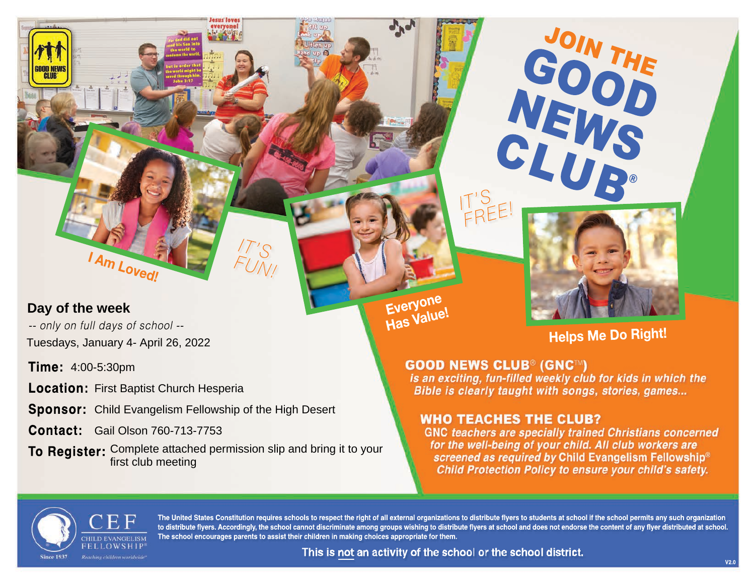**Day of the week**

GLUB

-- only on full days of school -- Tuesdays, January 4- April 26, 2022

Am Loved!

**Time:** 4:00-5:30pm

**Location:** First Baptist Church Hesperia

**Sponsor:**  Child Evangelism Fellowship of the High Desert

**Contact:** Gail Olson 760-713-7753

**To Register:** Complete attached permission slip and bring it to your first club meeting

*IT'S FUN!*



JOIN THE

GOOD THE

NEWS<sup>U</sup>

CLUB**®**

# **Helps Me Do Right!**

## **GOOD NEWS CLUB® (GNC™)**

*IT'S*

*FREE!*

is an exciting, fun-filled weekly club for kids in which the Bible is clearly taught with songs, stories, games...

# **WHO TEACHES THE CLUB?**

**GNC teachers are specially trained Christians concerned** for the well-being of your child. All club workers are screened as required by Child Evangelism Fellowship® Child Protection Policy to ensure your child's safety.



**The United States Constitution requires schools to respect the right of all external organizations to distribute flyers to students at school if the school permits any such organization to distribute flyers. Accordingly, the school cannot discriminate among groups wishing to distribute flyers at school and does not endorse the content of any flyer distributed at school. The school encourages parents to assist their children in making choices appropriate for them.**

**Everyone Has Value!**

This is not an activity of the school or the school district.